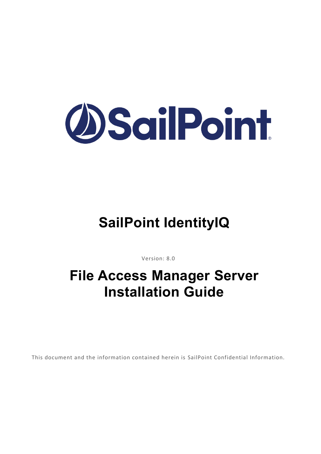

# **SailPoint IdentityIQ**

Version: 8.0

# **File Access Manager Server Installation Guide**

This document and the information contained herein is SailPoint Confidential Information.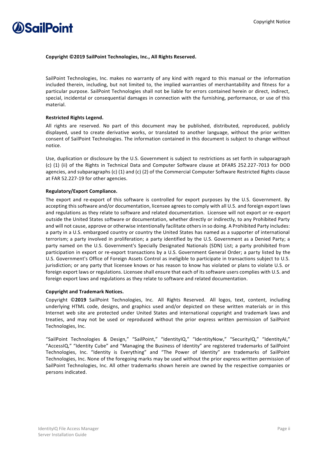

#### **Copyright ©2019 SailPoint Technologies, Inc., All Rights Reserved.**

SailPoint Technologies, Inc. makes no warranty of any kind with regard to this manual or the information included therein, including, but not limited to, the implied warranties of merchantability and fitness for a particular purpose. SailPoint Technologies shall not be liable for errors contained herein or direct, indirect, special, incidental or consequential damages in connection with the furnishing, performance, or use of this material.

### **Restricted Rights Legend.**

All rights are reserved. No part of this document may be published, distributed, reproduced, publicly displayed, used to create derivative works, or translated to another language, without the prior written consent of SailPoint Technologies. The information contained in this document is subject to change without notice.

Use, duplication or disclosure by the U.S. Government is subject to restrictions as set forth in subparagraph (c) (1) (ii) of the Rights in Technical Data and Computer Software clause at DFARS 252.227-7013 for DOD agencies, and subparagraphs (c) (1) and (c) (2) of the Commercial Computer Software Restricted Rights clause at FAR 52.227-19 for other agencies.

### **Regulatory/Export Compliance.**

The export and re-export of this software is controlled for export purposes by the U.S. Government. By accepting this software and/or documentation, licensee agrees to comply with all U.S. and foreign export laws and regulations as they relate to software and related documentation. Licensee will not export or re-export outside the United States software or documentation, whether directly or indirectly, to any Prohibited Party and will not cause, approve or otherwise intentionally facilitate others in so doing. A Prohibited Party includes: a party in a U.S. embargoed country or country the United States has named as a supporter of international terrorism; a party involved in proliferation; a party identified by the U.S. Government as a Denied Party; a party named on the U.S. Government's Specially Designated Nationals (SDN) List; a party prohibited from participation in export or re-export transactions by a U.S. Government General Order; a party listed by the U.S. Government's Office of Foreign Assets Control as ineligible to participate in transactions subject to U.S. jurisdiction; or any party that licensee knows or has reason to know has violated or plans to violate U.S. or foreign export laws or regulations. Licensee shall ensure that each of its software users complies with U.S. and foreign export laws and regulations as they relate to software and related documentation.

### **Copyright and Trademark Notices.**

Copyright ©**2019** SailPoint Technologies, Inc. All Rights Reserved. All logos, text, content, including underlying HTML code, designs, and graphics used and/or depicted on these written materials or in this Internet web site are protected under United States and international copyright and trademark laws and treaties, and may not be used or reproduced without the prior express written permission of SailPoint Technologies, Inc.

"SailPoint Technologies & Design," "SailPoint," "IdentityIQ," "IdentityNow," "SecurityIQ," "IdentityAI," "AccessIQ," "Identity Cube" and "Managing the Business of Identity" are registered trademarks of SailPoint Technologies, Inc. "Identity is Everything" and "The Power of Identity" are trademarks of SailPoint Technologies, Inc. None of the foregoing marks may be used without the prior express written permission of SailPoint Technologies, Inc. All other trademarks shown herein are owned by the respective companies or persons indicated.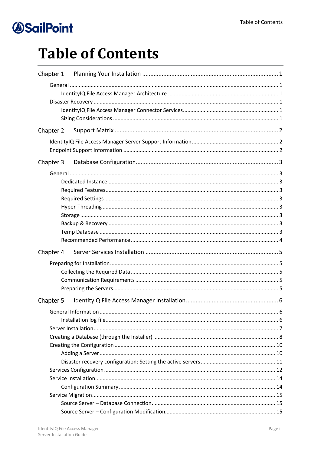# **Table of Contents**

| Chapter 1: |  |
|------------|--|
|            |  |
|            |  |
|            |  |
|            |  |
|            |  |
|            |  |
| Chapter 2: |  |
|            |  |
|            |  |
| Chapter 3: |  |
|            |  |
|            |  |
|            |  |
|            |  |
|            |  |
|            |  |
|            |  |
|            |  |
|            |  |
|            |  |
| Chapter 4: |  |
|            |  |
|            |  |
|            |  |
|            |  |
| Chapter 5: |  |
|            |  |
|            |  |
|            |  |
|            |  |
|            |  |
|            |  |
|            |  |
|            |  |
|            |  |
|            |  |
|            |  |
|            |  |
|            |  |
|            |  |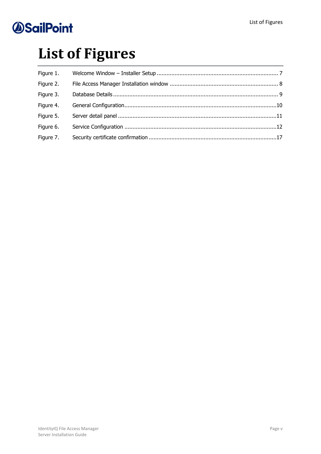# **List of Figures**

| Figure 1. |  |
|-----------|--|
| Figure 2. |  |
| Figure 3. |  |
| Figure 4. |  |
| Figure 5. |  |
| Figure 6. |  |
| Figure 7. |  |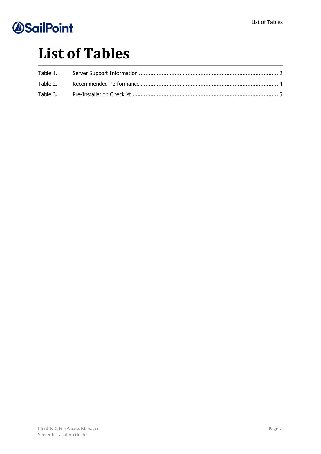# **List of Tables**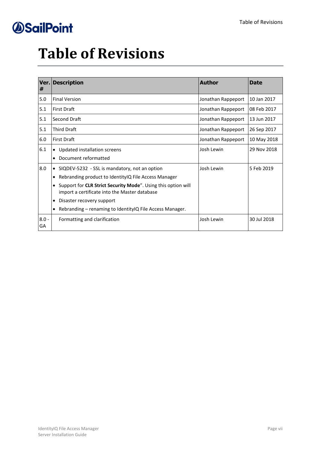# **Table of Revisions**

| Ver. <br>#    | <b>Description</b>                                                                                             | <b>Author</b>      | <b>Date</b> |
|---------------|----------------------------------------------------------------------------------------------------------------|--------------------|-------------|
| 5.0           | <b>Final Version</b>                                                                                           | Jonathan Rappeport | 10 Jan 2017 |
| 5.1           | <b>First Draft</b>                                                                                             | Jonathan Rappeport | 08 Feb 2017 |
| 5.1           | Second Draft                                                                                                   | Jonathan Rappeport | 13 Jun 2017 |
| 5.1           | <b>Third Draft</b>                                                                                             | Jonathan Rappeport | 26 Sep 2017 |
| 6.0           | <b>First Draft</b>                                                                                             | Jonathan Rappeport | 10 May 2018 |
| 6.1           | • Updated installation screens                                                                                 | Josh Lewin         | 29 Nov 2018 |
|               | Document reformatted                                                                                           |                    |             |
| 8.0           | SIQDEV-5232 - SSL is mandatory, not an option                                                                  | Josh Lewin         | 5 Feb 2019  |
|               | Rebranding product to Identity IQ File Access Manager<br>٠                                                     |                    |             |
|               | Support for CLR Strict Security Mode". Using this option will<br>import a certificate into the Master database |                    |             |
|               | Disaster recovery support<br>٠                                                                                 |                    |             |
|               | Rebranding – renaming to Identity IQ File Access Manager.                                                      |                    |             |
| $8.0 -$<br>GA | Formatting and clarification                                                                                   | Josh Lewin         | 30 Jul 2018 |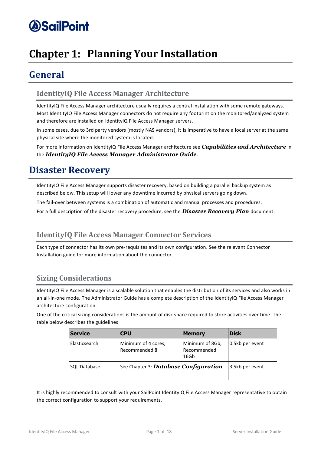## <span id="page-7-0"></span>**Chapter 1: Planning Your Installation**

## <span id="page-7-1"></span>**General**

### <span id="page-7-2"></span>**IdentityIQ File Access Manager Architecture**

IdentityIQ File Access Manager architecture usually requires a central installation with some remote gateways. Most IdentityIQ File Access Manager connectors do not require any footprint on the monitored/analyzed system and therefore are installed on IdentityIQ File Access Manager servers.

In some cases, due to 3rd party vendors (mostly NAS vendors), it is imperative to have a local server at the same physical site where the monitored system is located.

For more information on IdentityIQ File Access Manager architecture see *Capabilities and Architecture* in the *IdentityIQ File Access Manager Administrator Guide*.

## <span id="page-7-3"></span>**Disaster Recovery**

IdentityIQ File Access Manager supports disaster recovery, based on building a parallel backup system as described below. This setup will lower any downtime incurred by physical servers going down.

The fail-over between systems is a combination of automatic and manual processes and procedures.

For a full description of the disaster recovery procedure, see the *Disaster Recovery Plan* document.

### <span id="page-7-4"></span>**IdentityIQ File Access Manager Connector Services**

Each type of connector has its own pre-requisites and its own configuration. See the relevant Connector Installation guide for more information about the connector.

## <span id="page-7-5"></span>**Sizing Considerations**

IdentityIQ File Access Manager is a scalable solution that enables the distribution of its services and also works in an all-in-one mode. The Administrator Guide has a complete description of the IdentityIQ File Access Manager architecture configuration.

One of the critical sizing considerations is the amount of disk space required to store activities over time. The table below describes the guidelines

| <b>Service</b> | <b>CPU</b>                            | <b>Memory</b>                          | <b>Disk</b>     |
|----------------|---------------------------------------|----------------------------------------|-----------------|
| Elasticsearch  | Minimum of 4 cores,<br>Recommended 8  | Minimum of 8Gb,<br>Recommended<br>16Gb | 0.5kb per event |
| SQL Database   | See Chapter 3: Database Configuration |                                        | 3.5kb per event |

It is highly recommended to consult with your SailPoint IdentityIQ File Access Manager representative to obtain the correct configuration to support your requirements.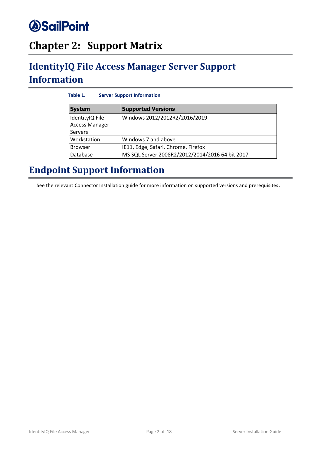## <span id="page-8-0"></span>**Chapter 2: Support Matrix**

## <span id="page-8-3"></span><span id="page-8-1"></span>**IdentityIQ File Access Manager Server Support Information**

| Table 1.<br><b>Server Support Information</b>       |                                                 |  |  |  |  |
|-----------------------------------------------------|-------------------------------------------------|--|--|--|--|
| <b>System</b>                                       | <b>Supported Versions</b>                       |  |  |  |  |
| IdentityIQ File<br>Access Manager<br><b>Servers</b> | Windows 2012/2012R2/2016/2019                   |  |  |  |  |
| Workstation                                         | Windows 7 and above                             |  |  |  |  |
| <b>Browser</b>                                      | IE11, Edge, Safari, Chrome, Firefox             |  |  |  |  |
| Database                                            | MS SQL Server 2008R2/2012/2014/2016 64 bit 2017 |  |  |  |  |

## <span id="page-8-2"></span>**Endpoint Support Information**

See the relevant Connector Installation guide for more information on supported versions and prerequisites.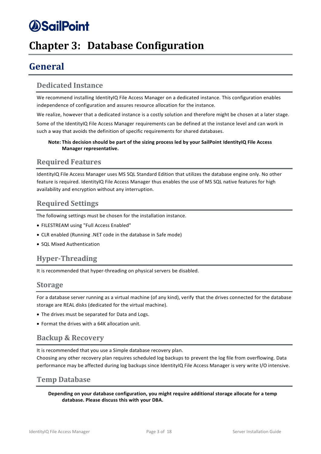## <span id="page-9-9"></span><span id="page-9-0"></span>**Chapter 3: Database Configuration**

## <span id="page-9-1"></span>**General**

### <span id="page-9-2"></span>**Dedicated Instance**

We recommend installing IdentityIQ File Access Manager on a dedicated instance. This configuration enables independence of configuration and assures resource allocation for the instance.

We realize, however that a dedicated instance is a costly solution and therefore might be chosen at a later stage.

Some of the IdentityIQ File Access Manager requirements can be defined at the instance level and can work in such a way that avoids the definition of specific requirements for shared databases.

### **Note: This decision should be part of the sizing process led by your SailPoint IdentityIQ File Access Manager representative.**

### <span id="page-9-3"></span>**Required Features**

IdentityIQ File Access Manager uses MS SQL Standard Edition that utilizes the database engine only. No other feature is required. IdentityIQ File Access Manager thus enables the use of MS SQL native features for high availability and encryption without any interruption.

## <span id="page-9-4"></span>**Required Settings**

The following settings must be chosen for the installation instance.

- FILESTREAM using "Full Access Enabled"
- CLR enabled (Running .NET code in the database in Safe mode)
- SQL Mixed Authentication

## <span id="page-9-5"></span>**Hyper-Threading**

It is recommended that hyper-threading on physical servers be disabled.

### <span id="page-9-6"></span>**Storage**

For a database server running as a virtual machine (of any kind), verify that the drives connected for the database storage are REAL disks (dedicated for the virtual machine).

- The drives must be separated for Data and Logs.
- Format the drives with a 64K allocation unit.

### <span id="page-9-7"></span>**Backup & Recovery**

It is recommended that you use a Simple database recovery plan.

Choosing any other recovery plan requires scheduled log backups to prevent the log file from overflowing. Data performance may be affected during log backups since IdentityIQ File Access Manager is very write I/O intensive.

### <span id="page-9-8"></span>**Temp Database**

**Depending on your database configuration, you might require additional storage allocate for a temp database. Please discuss this with your DBA.**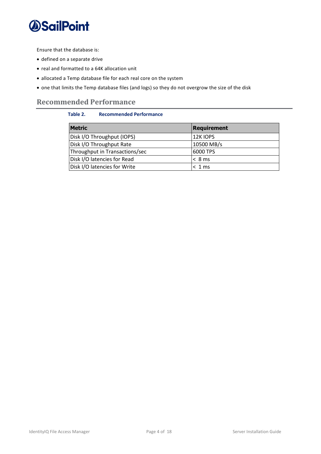

Ensure that the database is:

- defined on a separate drive
- real and formatted to a 64K allocation unit
- allocated a Temp database file for each real core on the system
- one that limits the Temp database files (and logs) so they do not overgrow the size of the disk

### <span id="page-10-1"></span><span id="page-10-0"></span>**Recommended Performance**

### **Table 2. Recommended Performance**

| <b>Metric</b>                  | <b>Requirement</b> |  |
|--------------------------------|--------------------|--|
| Disk I/O Throughput (IOPS)     | 12K IOPS           |  |
| Disk I/O Throughput Rate       | 10500 MB/s         |  |
| Throughput in Transactions/sec | 6000 TPS           |  |
| Disk I/O latencies for Read    | < 8 ms             |  |
| Disk I/O latencies for Write   | < 1 ms             |  |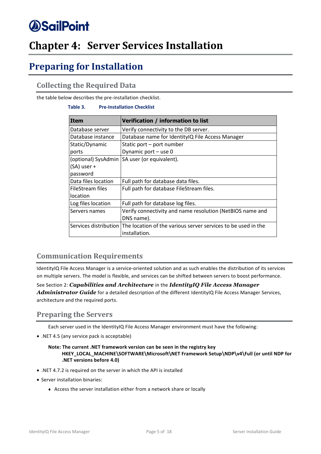## <span id="page-11-0"></span>**Chapter 4: Server Services Installation**

## <span id="page-11-1"></span>**Preparing for Installation**

## <span id="page-11-2"></span>**Collecting the Required Data**

<span id="page-11-5"></span>the table below describes the pre-installation checklist.

### **Table 3. Pre-Installation Checklist**

| <b>Item</b>         | Verification / information to list                                                  |  |  |  |
|---------------------|-------------------------------------------------------------------------------------|--|--|--|
| Database server     | Verify connectivity to the DB server.                                               |  |  |  |
| Database instance   | Database name for IdentityIQ File Access Manager                                    |  |  |  |
| Static/Dynamic      | Static port – port number                                                           |  |  |  |
| ports               | Dynamic port - use 0                                                                |  |  |  |
| (optional) SysAdmin | SA user (or equivalent).                                                            |  |  |  |
| (SA) user +         |                                                                                     |  |  |  |
| password            |                                                                                     |  |  |  |
| Data files location | Full path for database data files.                                                  |  |  |  |
| FileStream files    | Full path for database FileStream files.                                            |  |  |  |
| location            |                                                                                     |  |  |  |
| Log files location  | Full path for database log files.                                                   |  |  |  |
| Servers names       | Verify connectivity and name resolution (NetBIOS name and                           |  |  |  |
|                     | DNS name).                                                                          |  |  |  |
|                     | Services distribution The location of the various server services to be used in the |  |  |  |
|                     | installation.                                                                       |  |  |  |

### <span id="page-11-3"></span>**Communication Requirements**

IdentityIQ File Access Manager is a service-oriented solution and as such enables the distribution of its services on multiple servers. The model is flexible, and services can be shifted between servers to boost performance.

See Section 2: *Capabilities and Architecture* in the *IdentityIQ File Access Manager Administrator Guide* for a detailed description of the different IdentityIQ File Access Manager Services, architecture and the required ports.

### <span id="page-11-4"></span>**Preparing the Servers**

Each server used in the IdentityIQ File Access Manager environment must have the following:

• .NET 4.5 (any service pack is acceptable)

### **Note: The current .NET framework version can be seen in the registry key HKEY\_LOCAL\_MACHINE\SOFTWARE\Microsoft\NET Framework Setup\NDP\v4\Full (or until NDP for .NET versions before 4.0)**

- .NET 4.7.2 is required on the server in which the API is installed
- Server installation binaries:
	- <sup>⧫</sup> Access the server installation either from a network share or locally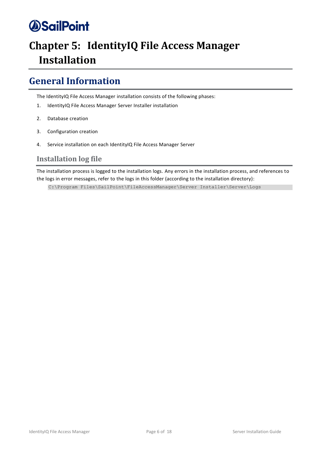## <span id="page-12-0"></span>**Chapter 5: IdentityIQ File Access Manager Installation**

## <span id="page-12-1"></span>**General Information**

The IdentityIQ File Access Manager installation consists of the following phases:

- 1. IdentityIQ File Access Manager Server Installer installation
- 2. Database creation
- 3. Configuration creation
- 4. Service installation on each IdentityIQ File Access Manager Server

### <span id="page-12-2"></span>**Installation log file**

The installation process is logged to the installation logs. Any errors in the installation process, and references to the logs in error messages, refer to the logs in this folder (according to the installation directory):

C:\Program Files\SailPoint\FileAccessManager\Server Installer\Server\Logs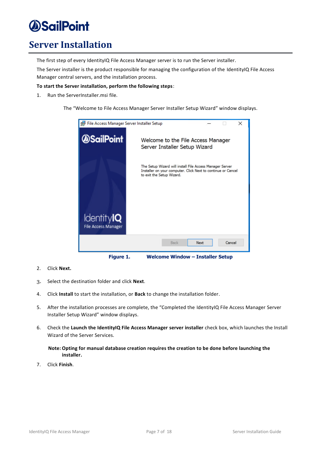## <span id="page-13-0"></span>**Server Installation**

The first step of every IdentityIQ File Access Manager server is to run the Server installer.

The Server installer is the product responsible for managing the configuration of the IdentityIQ File Access Manager central servers, and the installation process.

### **To start the Server installation, perform the following steps**:

1. Run the ServerInstaller.msi file.

The "Welcome to File Access Manager Server Installer Setup Wizard" window displays.



- <span id="page-13-1"></span>2. Click **Next.**
- 3. Select the destination folder and click **Next**.
- 4. Click **Install** to start the installation, or **Back** to change the installation folder.
- 5. After the installation processes are complete, the "Completed the IdentityIQ File Access Manager Server Installer Setup Wizard" window displays.
- 6. Check the **Launch the IdentityIQ File Access Manager server installer** check box, which launches the Install Wizard of the Server Services.

#### **Note: Opting for manual database creation requires the creation to be done before launching the installer.**

7. Click **Finish**.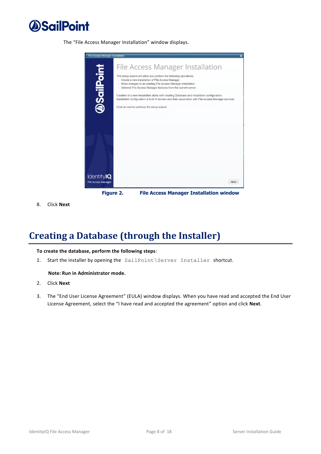

The "File Access Manager Installation" window displays.



<span id="page-14-1"></span>8. Click **Next**

## <span id="page-14-0"></span>**Creating a Database (through the Installer)**

#### **To create the database, perform the following steps**:

1. Start the installer by opening the SailPoint\Server Installer shortcut.

#### **Note: Run in Administrator mode.**

- 2. Click **Next**
- 3. The "End User License Agreement" (EULA) window displays. When you have read and accepted the End User License Agreement, select the "I have read and accepted the agreement" option and click **Next**.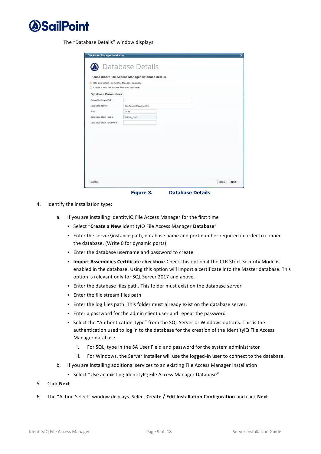

The "Database Details" window displays.

|                                                | Please insert File Access Manager database details |  |
|------------------------------------------------|----------------------------------------------------|--|
| · Use an existing File Access Manager database |                                                    |  |
| Create a new File Access Manager database      |                                                    |  |
| <b>Database Parameters:</b>                    |                                                    |  |
| Server\Instance Path:                          |                                                    |  |
| Database Name:                                 | FileAccessManagerDB                                |  |
| Port                                           | 1433                                               |  |
| Database User Name:                            | Admin User                                         |  |
| Database User Password:                        |                                                    |  |
|                                                |                                                    |  |
|                                                |                                                    |  |
|                                                |                                                    |  |
|                                                |                                                    |  |
|                                                |                                                    |  |
|                                                |                                                    |  |
|                                                |                                                    |  |
|                                                |                                                    |  |

**Figure 3. Database Details**

- <span id="page-15-0"></span>4. Identify the installation type:
	- a. If you are installing IdentityIQ File Access Manager for the first time
		- Select "**Create a New** IdentityIQ File Access Manager **Database**"
		- Enter the server\instance path, database name and port number required in order to connect the database. (Write 0 for dynamic ports)
		- Enter the database username and password to create.
		- **Import Assemblies Certificate checkbox**: Check this option if the CLR Strict Security Mode is enabled in the database. Using this option will import a certificate into the Master database. This option is relevant only for SQL Server 2017 and above.
		- **Enter the database files path. This folder must exist on the database server**
		- **Enter the file stream files path**
		- **Enter the log files path. This folder must already exist on the database server.**
		- Enter a password for the admin client user and repeat the password
		- Select the "Authentication Type" from the SQL Server or Windows options. This is the authentication used to log in to the database for the creation of the IdentityIQ File Access Manager database.
			- i. For SQL, type in the SA User Field and password for the system administrator
			- ii. For Windows, the Server Installer will use the logged-in user to connect to the database.
	- b. If you are installing additional services to an existing File Access Manager installation
		- Select "Use an existing IdentityIQ File Access Manager Database"
- 5. Click **Next**
- 6. The "Action Select" window displays. Select **Create / Edit Installation Configuration** and click **Next**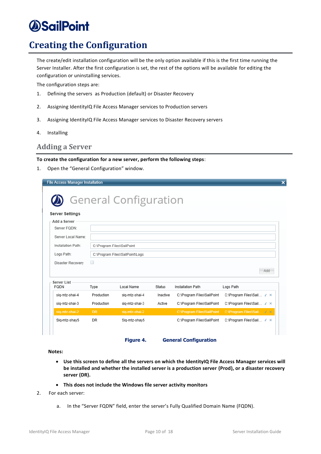## <span id="page-16-0"></span>**Creating the Configuration**

The create/edit installation configuration will be the only option available if this is the first time running the Server Installer. After the first configuration is set, the rest of the options will be available for editing the configuration or uninstalling services.

The configuration steps are:

- 1. Defining the servers as Production (default) or Disaster Recovery
- 2. Assigning IdentityIQ File Access Manager services to Production servers
- 3. Assigning IdentityIQ File Access Manager services to Disaster Recovery servers
- 4. Installing

### <span id="page-16-3"></span><span id="page-16-1"></span>**Adding a Server**

#### **To create the configuration for a new server, perform the following steps**:

1. Open the "General Configuration" window.

| <b>File Access Manager Installation</b> |                            |                                 |               |                                   | $\overline{\mathbf{x}}$   |
|-----------------------------------------|----------------------------|---------------------------------|---------------|-----------------------------------|---------------------------|
| <b>Server Settings</b>                  |                            | <b>General Configuration</b>    |               |                                   |                           |
| Add a Server                            |                            |                                 |               |                                   |                           |
| Server FODN:                            |                            |                                 |               |                                   |                           |
| Server Local Name:                      |                            |                                 |               |                                   |                           |
| Installation Path:                      | C:\Program Files\SailPoint |                                 |               |                                   |                           |
| Logs Path:                              |                            | C:\Program Files\SailPoint\Logs |               |                                   |                           |
| Disaster Recovery                       | □                          |                                 |               |                                   | Add                       |
| Server List<br>FQDN                     | Type                       | Local Name                      | <b>Status</b> | Installation Path                 | Logs Path                 |
| sig-mtz-shai-4                          | Production                 | siq-mtz-shai-4                  | Inactive      | C:\Program Files\SailPoint        | C:\Program Files\Sail ∠ × |
| siq-mtz-shai-3                          | Production                 | siq-mtz-shai-3                  | Active        | C:\Program Files\SailPoint        | C:\Program Files\Sail ∠ × |
| sig-mtz-shai-2                          | <b>DR</b>                  | sig-mtz-shai-2                  |               | <b>C:\Program Files\SailPoint</b> | C:\Program Files\Sail Z X |
| Sig-mtz-shay5                           | <b>DR</b>                  | Sig-mtz-shay5                   |               | C:\Program Files\SailPoint        | C:\Program Files\Sail ∠ × |
|                                         |                            | Figure 4.                       |               | <b>General Configuration</b>      |                           |

<span id="page-16-2"></span>**Notes:**

- **Use this screen to define all the servers on which the IdentityIQ File Access Manager services will be installed and whether the installed server is a production server (Prod), or a disaster recovery server (DR).**
- **This does not include the Windows file server activity monitors**
- 2. For each server:
	- a. In the "Server FQDN" field, enter the server's Fully Qualified Domain Name (FQDN).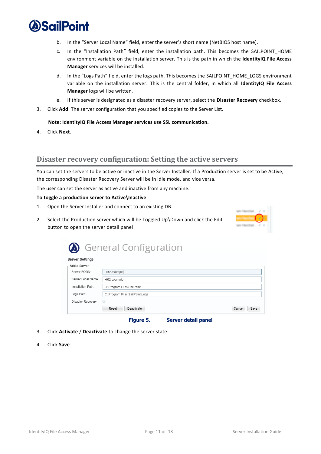

- b. In the "Server Local Name" field, enter the server's short name (NetBIOS host name).
- c. In the "Installation Path" field, enter the installation path. This becomes the SAILPOINT\_HOME environment variable on the installation server. This is the path in which the **IdentityIQ File Access Manager** services will be installed.
- d. In the "Logs Path" field, enter the logs path. This becomes the SAILPOINT\_HOME\_LOGS environment variable on the installation server. This is the central folder, in which all **IdentityIQ File Access Manager** logs will be written.
- e. If this server is designated as a disaster recovery server, select the **Disaster Recovery** checkbox.
- 3. Click **Add**. The server configuration that you specified copies to the Server List.

#### **Note: IdentityIQ File Access Manager services use SSL communication.**

4. Click **Next**.

### <span id="page-17-0"></span>**Disaster recovery configuration: Setting the active servers**

You can set the servers to be active or inactive in the Server Installer. If a Production server is set to be Active, the corresponding Disaster Recovery Server will be in idle mode, and vice versa.

The user can set the server as active and inactive from any machine.

#### **To toggle a production server to Active\Inactive**

- 1. Open the Server Installer and connect to an existing DB.
- 2. Select the Production server which will be Toggled Up\Down and click the Edit button to open the server detail panel



|                        | <b>General Configuration</b>     |                |
|------------------------|----------------------------------|----------------|
| <b>Server Settings</b> |                                  |                |
| Add a Server           |                                  |                |
| Server FQDN:           | HR2-example                      |                |
| Server Local Name:     | HR2-example                      |                |
| Installation Path:     | C:\Program Files\SailPoint       |                |
| Logs Path:             | C:\Program Files\SailPoint\Logs  |                |
| Disaster Recovery      | u                                |                |
|                        | Deactivate<br>Reset              | Cancel<br>Save |
|                        | Server detail panel<br>Figure 5. |                |

- <span id="page-17-1"></span>3. Click **Activate** / **Deactivate** to change the server state.
- 4. Click **Save**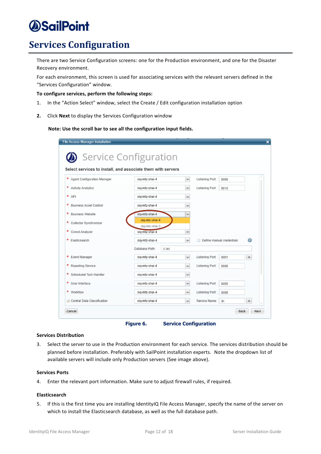## <span id="page-18-2"></span><span id="page-18-0"></span>**Services Configuration**

There are two Service Configuration screens: one for the Production environment, and one for the Disaster Recovery environment.

For each environment, this screen is used for associating services with the relevant servers defined in the "Services Configuration" window.

#### **To configure services, perform the following steps:**

- 1. In the "Action Select" window, select the Create / Edit configuration installation option
- **2.** Click **Next** to display the Services Configuration window

#### **Note: Use the scroll bar to see all the configuration input fields.**

| Service Configuration                                       |                                  |              |                                                |      |   |
|-------------------------------------------------------------|----------------------------------|--------------|------------------------------------------------|------|---|
| Select services to install, and associate them with servers |                                  |              |                                                |      |   |
| * Agent Configuration Manager                               | sig-mtz-shai-4                   | $\checkmark$ | Listening Port:                                | 8000 |   |
| * Activity Analytics                                        | sig-mtz-shai-4                   | $\checkmark$ | Listening Port:                                | 8010 |   |
| $*$ API                                                     | sig-mtz-shai-4                   | v            |                                                |      |   |
| *<br><b>Business Asset Control</b>                          | sig-mtz-shai-4                   | v            |                                                |      |   |
| *<br><b>Business Website</b>                                | sig-mtz-shai-4                   | v            |                                                |      |   |
| * Collector Synchronizer                                    | siq-mtz-shai-4<br>siq-mtz-shai-3 |              |                                                |      |   |
| * Crowd Analyzer                                            | siq-mtz-shai-4                   | v            |                                                |      |   |
| * Elasticsearch                                             | sig-mtz-shai-4                   |              | A<br>$\checkmark$<br>Define manual credentials |      |   |
|                                                             | Database Path:                   | c:\es        |                                                |      |   |
| * Event Manager                                             | siq-mtz-shai-4                   | $\checkmark$ | Listening Port:                                | 8001 | ÷ |
| * Reporting Service                                         | sig-mtz-shai-4                   | $\checkmark$ | Listening Port:                                | 8006 |   |
| * Scheduled Task Handler                                    | sig-mtz-shai-4                   | v            |                                                |      |   |
| * User Interface                                            | siq-mtz-shai-4                   | v            | Listening Port:                                | 8005 |   |
| * Workflow                                                  | sig-mtz-shai-4                   | v            | Listening Port:                                | 8008 |   |
| Central Data Classification                                 | siq-mtz-shai-4                   | $\checkmark$ | Service Name:                                  | dc   | ÷ |

**Figure 6. Service Configuration**

### <span id="page-18-1"></span>**Services Distribution**

3. Select the server to use in the Production environment for each service. The services distribution should be planned before installation. Preferably with SailPoint installation experts. Note the dropdown list of available servers will include only Production servers (See image above).

#### **Services Ports**

4. Enter the relevant port information. Make sure to adjust firewall rules, if required.

### **Elasticsearch**

5. If this is the first time you are installing IdentityIQ File Access Manager, specify the name of the server on which to install the Elasticsearch database, as well as the full database path.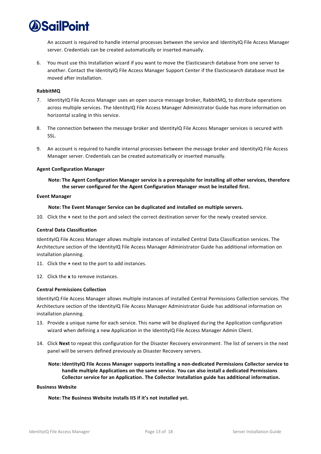

An account is required to handle internal processes between the service and IdentityIQ File Access Manager server. Credentials can be created automatically or inserted manually.

6. You must use this Installation wizard if you want to move the Elasticsearch database from one server to another. Contact the IdentityIQ File Access Manager Support Center if the Elasticsearch database must be moved after installation.

#### **RabbitMQ**

- 7. IdentityIQ File Access Manager uses an open source message broker, RabbitMQ, to distribute operations across multiple services. The IdentityIQ File Access Manager Administrator Guide has more information on horizontal scaling in this service.
- 8. The connection between the message broker and IdentityIQ File Access Manager services is secured with SSL.
- 9. An account is required to handle internal processes between the message broker and IdentityIQ File Access Manager server. Credentials can be created automatically or inserted manually.

#### **Agent Configuration Manager**

### **Note: The Agent Configuration Manager service is a prerequisite for installing all other services, therefore the server configured for the Agent Configuration Manager must be installed first.**

#### **Event Manager**

**Note: The Event Manager Service can be duplicated and installed on multiple servers.**

10. Click the **+** next to the port and select the correct destination server for the newly created service.

#### **Central Data Classification**

IdentityIQ File Access Manager allows multiple instances of installed Central Data Classification services. The Architecture section of the IdentityIQ File Access Manager Administrator Guide has additional information on installation planning.

11. Click the **+** next to the port to add instances.

12. Click the **x** to remove instances.

#### **Central Permissions Collection**

IdentityIQ File Access Manager allows multiple instances of installed Central Permissions Collection services. The Architecture section of the IdentityIQ File Access Manager Administrator Guide has additional information on installation planning.

- 13. Provide a unique name for each service. This name will be displayed during the Application configuration wizard when defining a new Application in the IdentityIQ File Access Manager Admin Client.
- 14. Click **Next** to repeat this configuration for the Disaster Recovery environment. The list of servers in the next panel will be servers defined previously as Disaster Recovery servers.
	- **Note: IdentityIQ File Access Manager supports installing a non-dedicated Permissions Collector service to handle multiple Applications on the same service. You can also install a dedicated Permissions Collector service for an Application. The Collector Installation guide has additional information.**

#### **Business Website**

**Note: The Business Website installs IIS if it's not installed yet.**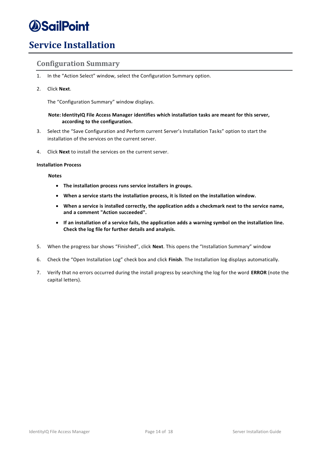## <span id="page-20-2"></span><span id="page-20-0"></span>**Service Installation**

### <span id="page-20-1"></span>**Configuration Summary**

- 1. In the "Action Select" window, select the Configuration Summary option.
- 2. Click **Next**.

The "Configuration Summary" window displays.

### **Note: IdentityIQ File Access Manager identifies which installation tasks are meant for this server, according to the configuration.**

- 3. Select the "Save Configuration and Perform current Server's Installation Tasks" option to start the installation of the services on the current server.
- 4. Click **Next** to install the services on the current server.

### **Installation Process**

**Notes**

- **The installation process runs service installers in groups.**
- **When a service starts the installation process, it is listed on the installation window.**
- **When a service is installed correctly, the application adds a checkmark next to the service name, and a comment "Action succeeded".**
- **If an installation of a service fails, the application adds a warning symbol on the installation line. Check the log file for further details and analysis.**
- 5. When the progress bar shows "Finished", click **Next**. This opens the "Installation Summary" window
- 6. Check the "Open Installation Log" check box and click **Finish**. The Installation log displays automatically.
- 7. Verify that no errors occurred during the install progress by searching the log for the word **ERROR** (note the capital letters).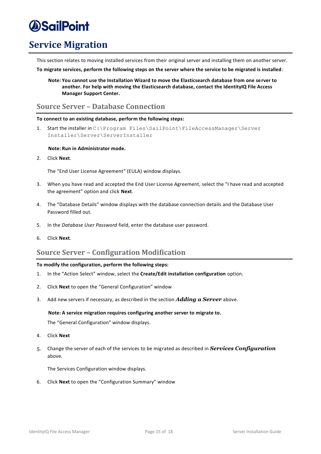## <span id="page-21-0"></span>**Service Migration**

This section relates to moving installed services from their original server and installing them on another server.

<span id="page-21-3"></span>**To migrate services, perform the following steps on the server where the service to be migrated is installed** :

**Note: You cannot use the Installation Wizard to move the Elasticsearch database from one server to another. For help with moving the Elasticsearch database, contact the IdentityIQ File Access Manager Support Center.**

### <span id="page-21-1"></span>**Source Server – Database Connection**

### **To connect to an existing database, perform the following steps:**

1. Start the installer in C:\Program Files\SailPoint\FileAccessManager\Server Installer\Server\ServerInstaller

### **Note: Run in Administrator mode.**

2. Click **Next**.

The "End User License Agreement" (EULA) window displays.

- 3. When you have read and accepted the End User License Agreement, select the "I have read and accepted the agreement" option and click **Next**.
- 4. The "Database Details" window displays with the database connection details and the Database User Password filled out.
- 5. In the *Database User Password* field, enter the database user password.
- 6. Click **Next**.

### <span id="page-21-2"></span>**Source Server – Configuration Modification**

### **To modify the configuration, perform the following steps:**

- 1. In the "Action Select" window, select the **Create/Edit installation configuration** option.
- 2. Click **Next** to open the "General Configuration" window
- 3. Add new servers if necessary, as described in the section *[Adding a Server](#page-16-3)* above.

#### **Note: A service migration requires configuring another server to migrate to.**

The "General Configuration" window displays.

- 4. Click **Next**
- 5. Change the server of each of the services to be migrated as described in *[Services Configuration](#page-18-2)* above.

The Services Configuration window displays.

6. Click **Next** to open the "Configuration Summary" window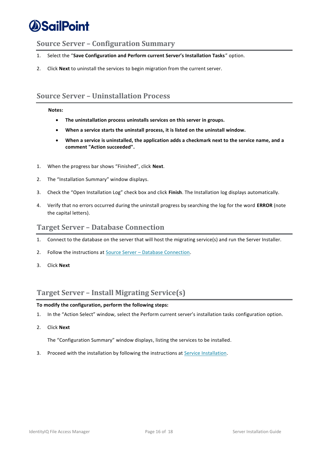### <span id="page-22-0"></span>**Source Server – Configuration Summary**

- 1. Select the "**Save Configuration and Perform current Server's Installation Tasks**" option.
- 2. Click **Next** to uninstall the services to begin migration from the current server.

### <span id="page-22-1"></span>**Source Server – Uninstallation Process**

#### **Notes:**

- **The uninstallation process uninstalls services on this server in groups.**
- **When a service starts the uninstall process, it is listed on the uninstall window.**
- **When a service is uninstalled, the application adds a checkmark next to the service name, and a comment "Action succeeded".**
- 1. When the progress bar shows "Finished", click **Next**.
- 2. The "Installation Summary" window displays.
- 3. Check the "Open Installation Log" check box and click **Finish**. The Installation log displays automatically.
- 4. Verify that no errors occurred during the uninstall progress by searching the log for the word **ERROR** (note the capital letters).

### <span id="page-22-2"></span>**Target Server – Database Connection**

- 1. Connect to the database on the server that will host the migrating service(s) and run the Server Installer.
- 2. Follow the instructions at Source Server [Database Connection.](#page-21-3)
- 3. Click **Next**

### <span id="page-22-3"></span>**Target Server – Install Migrating Service(s)**

### **To modify the configuration, perform the following steps:**

- 1. In the "Action Select" window, select the Perform current server's installation tasks configuration option.
- 2. Click **Next**

The "Configuration Summary" window displays, listing the services to be installed.

3. Proceed with the installation by following the instructions a[t Service Installation.](#page-20-2)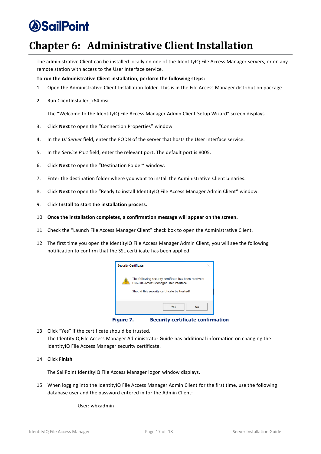## <span id="page-23-0"></span>**Chapter 6: Administrative Client Installation**

The administrative Client can be installed locally on one of the IdentityIQ File Access Manager servers, or on any remote station with access to the User Interface service.

### **To run the Administrative Client installation, perform the following steps:**

- 1. Open the Administrative Client Installation folder. This is in the File Access Manager distribution package
- 2. Run ClientInstaller\_x64.msi

The "Welcome to the IdentityIQ File Access Manager Admin Client Setup Wizard" screen displays.

- 3. Click **Next** to open the "Connection Properties" window
- 4. In the *UI Server* field, enter the FQDN of the server that hosts the User Interface service.
- 5. In the *Service Port* field, enter the relevant port. The default port is 8005.
- 6. Click **Next** to open the "Destination Folder" window.
- 7. Enter the destination folder where you want to install the Administrative Client binaries.
- 8. Click **Next** to open the "Ready to install IdentityIQ File Access Manager Admin Client" window.
- 9. Click **Install to start the installation process.**
- 10. **Once the installation completes, a confirmation message will appear on the screen.**
- 11. Check the "Launch File Access Manager Client" check box to open the Administrative Client.
- 12. The first time you open the IdentityIQ File Access Manager Admin Client, you will see the following notification to confirm that the SSL certificate has been applied.



**Figure 7. Security certificate confirmation**

- <span id="page-23-1"></span>13. Click "Yes" if the certificate should be trusted. The IdentityIQ File Access Manager Administrator Guide has additional information on changing the IdentityIQ File Access Manager security certificate.
- 14. Click **Finish**

The SailPoint IdentityIQ File Access Manager logon window displays.

15. When logging into the IdentityIQ File Access Manager Admin Client for the first time, use the following database user and the password entered in for the Admin Client:

User: wbxadmin